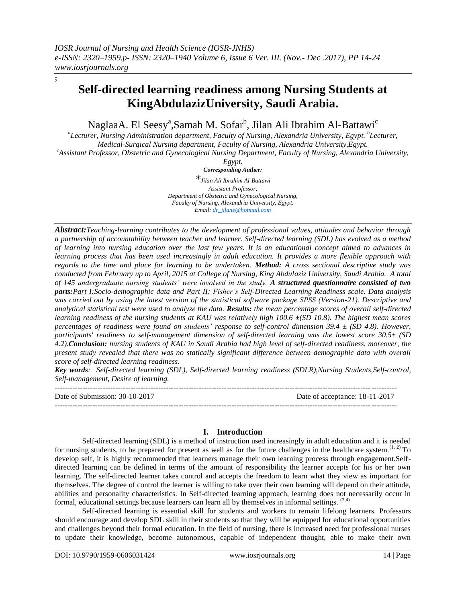**;**

# **Self-directed learning readiness among Nursing Students at KingAbdulazizUniversity, Saudi Arabia.**

NaglaaA. El Seesy<sup>a</sup>,Samah M. Sofar<sup>b</sup>, Jilan Ali Ibrahim Al-Battawi<sup>c</sup>

*a Lecturer, Nursing Administration department, Faculty of Nursing, Alexandria University, Egypt. <sup>b</sup> Lecturer, Medical-Surgical Nursing department, Faculty of Nursing, Alexandria University,Egypt.*

*<sup>c</sup>Assistant Professor, Obstetric and Gynecological Nursing Department, Faculty of Nursing, Alexandria University,* 

*Egypt.*

*Corresponding Auther: \*Jilan Ali Ibrahim Al-Battawi Assistant Professor, Department of Obstetric and Gynecological Nursing, Faculty of Nursing, Alexandria University, Egypt. Email[: dr\\_jilane@hotmail.com](mailto:dr_jilane@hotmail.com)*

*Abstract:Teaching-learning contributes to the development of professional values, attitudes and behavior through a partnership of accountability between teacher and learner. Self-directed learning (SDL) has evolved as a method of learning into nursing education over the last few years. It is an educational concept aimed to advances in learning process that has been used increasingly in adult education. It provides a more flexible approach with regards to the time and place for learning to be undertaken. Method: A cross sectional descriptive study was conducted from February up to April, 2015 at College of Nursing, King Abdulaziz University, Saudi Arabia. A total of 145 undergraduate nursing students' were involved in the study. A structured questionnaire consisted of two parts:Part I:Socio-demographic data and Part II: Fisher's Self-Directed Learning Readiness scale. Data analysis was carried out by using the latest version of the statistical software package SPSS (Version-21). Descriptive and analytical statistical test were used to analyze the data. Results: the mean percentage scores of overall self-directed learning readiness of the nursing students at KAU was relatively high 100.6 ±(SD 10.8). The highest mean scores percentages of readiness were found on students' response to self-control dimension 39.4 ± (SD 4.8). However, participants' readiness to self-management dimension of self-directed learning was the lowest score 30.5± (SD 4.2).Conclusion: nursing students of KAU in Saudi Arabia had high level of self-directed readiness, moreover, the present study revealed that there was no statically significant difference between demographic data with overall score of self-directed learning readiness.*

*Key words: Self-directed learning (SDL), Self-directed learning readiness (SDLR),Nursing Students,Self-control, Self-management, Desire of learning.*  $-1-\frac{1}{2}$ 

Date of Submission: 30-10-2017 Date of acceptance: 18-11-2017 ---------------------------------------------------------------------------------------------------------------------------------------

# **I. Introduction**

Self-directed learning (SDL) is a method of instruction used increasingly in adult education and it is needed for nursing students, to be prepared for present as well as for the future challenges in the healthcare system.<sup> $(1, 2)$ </sup> To develop self, it is highly recommended that learners manage their own learning process through engagement.Selfdirected learning can be defined in terms of the amount of responsibility the learner accepts for his or her own learning. The self-directed learner takes control and accepts the freedom to learn what they view as important for themselves. The degree of control the learner is willing to take over their own learning will depend on their attitude, abilities and personality characteristics. In Self-directed learning approach, learning does not necessarily occur in formal, educational settings because learners can learn all by themselves in informal settings. (3,4)

Self-directed learning is essential skill for students and workers to remain lifelong learners. Professors should encourage and develop SDL skill in their students so that they will be equipped for educational opportunities and challenges beyond their formal education. In the field of nursing, there is increased need for professional nurses to update their knowledge, become autonomous, capable of independent thought, able to make their own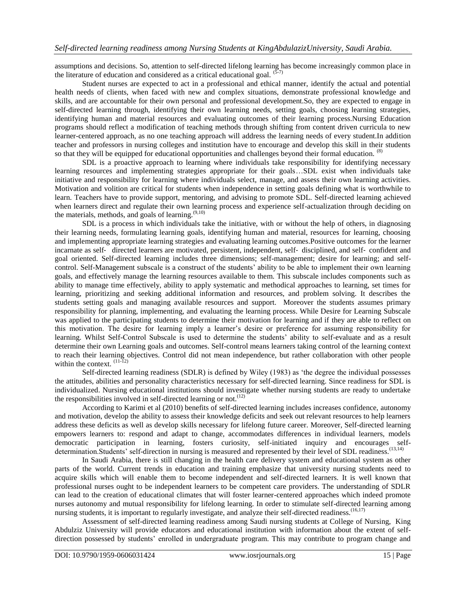assumptions and decisions. So, attention to self-directed lifelong learning has become increasingly common place in the literature of education and considered as a critical educational goal.  $(5-7)$ 

Student nurses are expected to act in a professional and ethical manner, identify the actual and potential health needs of clients, when faced with new and complex situations, demonstrate professional knowledge and skills, and are accountable for their own personal and professional development.So, they are expected to engage in self-directed learning through, identifying their own learning needs, setting goals, choosing learning strategies, identifying human and material resources and evaluating outcomes of their learning process.Nursing Education programs should reflect a modification of teaching methods through shifting from content driven curricula to new learner-centered approach, as no one teaching approach will address the learning needs of every student.In addition teacher and professors in nursing colleges and institution have to encourage and develop this skill in their students so that they will be equipped for educational opportunities and challenges beyond their formal education. <sup>(8)</sup>

SDL is a proactive approach to learning where individuals take responsibility for identifying necessary learning resources and implementing strategies appropriate for their goals…SDL exist when individuals take initiative and responsibility for learning where individuals select, manage, and assess their own learning activities. Motivation and volition are critical for students when independence in setting goals defining what is worthwhile to learn. Teachers have to provide support, mentoring, and advising to promote SDL. Self-directed learning achieved when learners direct and regulate their own learning process and experience self-actualization through deciding on the materials, methods, and goals of learning.<sup>(9,10)</sup>

SDL is a process in which individuals take the initiative, with or without the help of others, in diagnosing their learning needs, formulating learning goals, identifying human and material, resources for learning, choosing and implementing appropriate learning strategies and evaluating learning outcomes.Positive outcomes for the learner incarnate as self‐ directed learners are motivated, persistent, independent, self‐ disciplined, and self‐ confident and goal oriented. Self-directed learning includes three dimensions; self-management; desire for learning; and selfcontrol. Self-Management subscale is a construct of the students' ability to be able to implement their own learning goals, and effectively manage the learning resources available to them. This subscale includes components such as ability to manage time effectively, ability to apply systematic and methodical approaches to learning, set times for learning, prioritizing and seeking additional information and resources, and problem solving. It describes the students setting goals and managing available resources and support. Moreover the students assumes primary responsibility for planning, implementing, and evaluating the learning process. While Desire for Learning Subscale was applied to the participating students to determine their motivation for learning and if they are able to reflect on this motivation. The desire for learning imply a learner's desire or preference for assuming responsibility for learning. Whilst Self-Control Subscale is used to determine the students' ability to self-evaluate and as a result determine their own Learning goals and outcomes. Self-control means learners taking control of the learning context to reach their learning objectives. Control did not mean independence, but rather collaboration with other people within the context.  $(11-12)$ 

Self-directed learning readiness (SDLR) is defined by Wiley (1983) as 'the degree the individual possesses the attitudes, abilities and personality characteristics necessary for self-directed learning. Since readiness for SDL is individualized. Nursing educational institutions should investigate whether nursing students are ready to undertake the responsibilities involved in self-directed learning or not.<sup> $(12)$ </sup>

According to Karimi et al (2010) benefits of self-directed learning includes increases confidence, autonomy and motivation, develop the ability to assess their knowledge deficits and seek out relevant resources to help learners address these deficits as well as develop skills necessary for lifelong future career. Moreover, Self-directed learning empowers learners to: respond and adapt to change, accommodates differences in individual learners, models democratic participation in learning, fosters curiosity, self-initiated inquiry and encourages selfdetermination.Students' self-direction in nursing is measured and represented by their level of SDL readiness.<sup>(13,14)</sup>

In Saudi Arabia, there is still changing in the health care delivery system and educational system as other parts of the world. Current trends in education and training emphasize that university nursing students need to acquire skills which will enable them to become independent and self-directed learners. It is well known that professional nurses ought to be independent learners to be competent care providers. The understanding of SDLR can lead to the creation of educational climates that will foster learner-centered approaches which indeed promote nurses autonomy and mutual responsibility for lifelong learning. In order to stimulate self-directed learning among nursing students, it is important to regularly investigate, and analyze their self-directed readiness.<sup>(16,17)</sup>

Assessment of self-directed learning readiness among Saudi nursing students at College of Nursing, King Abdulziz University will provide educators and educational institution with information about the extent of selfdirection possessed by students' enrolled in undergraduate program. This may contribute to program change and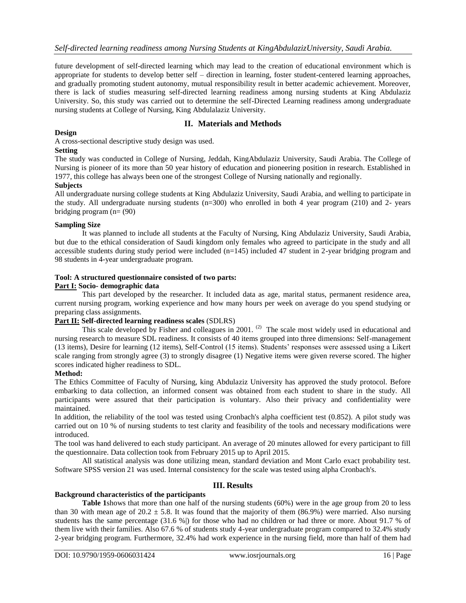future development of self-directed learning which may lead to the creation of educational environment which is appropriate for students to develop better self – direction in learning, foster student-centered learning approaches, and gradually promoting student autonomy, mutual responsibility result in better academic achievement. Moreover, there is lack of studies measuring self-directed learning readiness among nursing students at King Abdulaziz University. So, this study was carried out to determine the self-Directed Learning readiness among undergraduate nursing students at College of Nursing, King Abdulalaziz University.

# **II. Materials and Methods**

## **Design**

A cross-sectional descriptive study design was used.

## **Setting**

The study was conducted in College of Nursing, Jeddah, KingAbdulaziz University, Saudi Arabia. The College of Nursing is pioneer of its more than 50 year history of education and pioneering position in research. Established in 1977, this college has always been one of the strongest College of Nursing nationally and regionally.

# **Subjects**

All undergraduate nursing college students at King Abdulaziz University, Saudi Arabia, and welling to participate in the study. All undergraduate nursing students (n=300) who enrolled in both 4 year program (210) and 2- years bridging program  $(n=(90))$ 

## **Sampling Size**

It was planned to include all students at the Faculty of Nursing, King Abdulaziz University, Saudi Arabia, but due to the ethical consideration of Saudi kingdom only females who agreed to participate in the study and all accessible students during study period were included (n=145) included 47 student in 2-year bridging program and 98 students in 4-year undergraduate program.

# **Tool: A structured questionnaire consisted of two parts:**

## **Part I: Socio- demographic data**

This part developed by the researcher. It included data as age, marital status, permanent residence area, current nursing program, working experience and how many hours per week on average do you spend studying or preparing class assignments.

# **Part II: Self-directed learning readiness scales** (SDLRS)

This scale developed by Fisher and colleagues in 2001.<sup>(2)</sup> The scale most widely used in educational and nursing research to measure SDL readiness. It consists of 40 items grouped into three dimensions: Self-management (13 items), Desire for learning (12 items), Self-Control (15 items). Students' responses were assessed using a Likert scale ranging from strongly agree (3) to strongly disagree (1) Negative items were given reverse scored. The higher scores indicated higher readiness to SDL.

#### **Method:**

The Ethics Committee of Faculty of Nursing, king Abdulaziz University has approved the study protocol. Before embarking to data collection, an informed consent was obtained from each student to share in the study. All participants were assured that their participation is voluntary. Also their privacy and confidentiality were maintained.

In addition, the reliability of the tool was tested using Cronbach's alpha coefficient test (0.852). A pilot study was carried out on 10 % of nursing students to test clarity and feasibility of the tools and necessary modifications were introduced.

The tool was hand delivered to each study participant. An average of 20 minutes allowed for every participant to fill the questionnaire. Data collection took from February 2015 up to April 2015.

All statistical analysis was done utilizing mean, standard deviation and Mont Carlo exact probability test. Software SPSS version 21 was used. Internal consistency for the scale was tested using alpha Cronbach's.

# **III. Results**

#### **Background characteristics of the participants**

**Table 1**shows that more than one half of the nursing students (60%) were in the age group from 20 to less than 30 with mean age of  $20.2 \pm 5.8$ . It was found that the majority of them (86.9%) were married. Also nursing students has the same percentage (31.6 %) for those who had no children or had three or more. About 91.7 % of them live with their families. Also 67.6 % of students study 4-year undergraduate program compared to 32.4% study 2-year bridging program. Furthermore, 32.4% had work experience in the nursing field, more than half of them had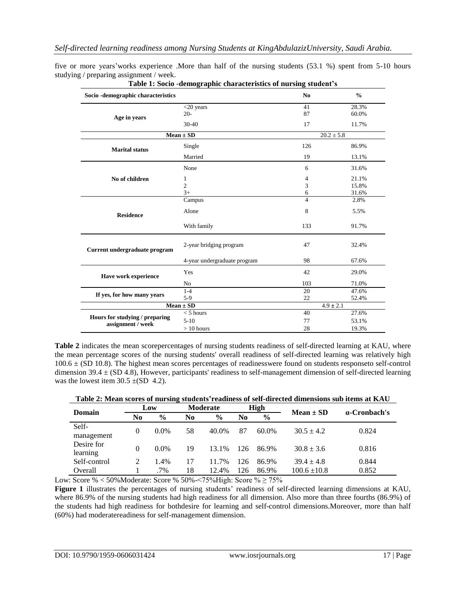five or more years'works experience .More than half of the nursing students (53.1 %) spent from 5-10 hours studying / preparing assignment / week.

| Socio -demographic characteristics                  |                              | No                       | $\frac{0}{0}$  |
|-----------------------------------------------------|------------------------------|--------------------------|----------------|
| Age in years                                        | $<$ 20 years<br>$20-$        | 41<br>87                 | 28.3%<br>60.0% |
|                                                     | $30 - 40$                    | 17                       | 11.7%          |
|                                                     | $Mean \pm SD$                |                          | $20.2 \pm 5.8$ |
| <b>Marital status</b>                               | Single                       | 126                      | 86.9%          |
|                                                     | Married                      | 19                       | 13.1%          |
|                                                     | None                         | 6                        | 31.6%          |
| No of children                                      | 1                            | 4                        | 21.1%          |
|                                                     | $\overline{2}$               | 3                        | 15.8%          |
|                                                     | $3+$                         | 6                        | 31.6%          |
|                                                     | Campus                       | $\overline{\mathcal{L}}$ | 2.8%           |
| <b>Residence</b>                                    | Alone                        | 8                        | 5.5%           |
|                                                     | With family                  | 133                      | 91.7%          |
| Current undergraduate program                       | 2-year bridging program      | 47                       | 32.4%          |
|                                                     | 4-year undergraduate program | 98                       | 67.6%          |
| Have work experience                                | Yes                          | 42                       | 29.0%          |
|                                                     | No                           | 103                      | 71.0%          |
|                                                     | $1 - 4$                      | 20                       | 47.6%          |
| If yes, for how many years                          | $5-9$                        | 22                       | 52.4%          |
|                                                     | $Mean \pm SD$                |                          | $4.9 \pm 2.1$  |
|                                                     | $<$ 5 hours                  | 40                       | 27.6%          |
| Hours for studying / preparing<br>assignment / week | $5-10$                       | 77                       | 53.1%          |
|                                                     | $>10$ hours                  | 28                       | 19.3%          |

**Table 1: Socio -demographic characteristics of nursing student's**

**Table 2** indicates the mean scorepercentages of nursing students readiness of self-directed learning at KAU, where the mean percentage scores of the nursing students' overall readiness of self-directed learning was relatively high  $100.6 \pm (SD\ 10.8)$ . The highest mean scores percentages of readinesswere found on students responseto self-control dimension 39.4  $\pm$  (SD 4.8), However, participants' readiness to self-management dimension of self-directed learning was the lowest item  $30.5 \pm (SD 4.2)$ .

**Table 2: Mean scores of nursing students'readiness of self-directed dimensions sub items at KAU**

| Domain       | Low      |               | <b>Moderate</b> |               | High |               | $Mean \pm SD$    |              |  |
|--------------|----------|---------------|-----------------|---------------|------|---------------|------------------|--------------|--|
|              | No       | $\frac{6}{9}$ | No              | $\frac{0}{0}$ | No   | $\frac{0}{0}$ |                  | a-Cronbach's |  |
| Self-        | $\Omega$ | $0.0\%$       | 58              | 40.0%         | 87   | 60.0%         | $30.5 \pm 4.2$   | 0.824        |  |
| management   |          |               |                 |               |      |               |                  |              |  |
| Desire for   | $\Omega$ | $0.0\%$       | 19              | 13.1%         | 126  | 86.9%         | $30.8 \pm 3.6$   | 0.816        |  |
| learning     |          |               |                 |               |      |               |                  |              |  |
| Self-control |          | 1.4%          | 17              | 11.7%         | 126  | 86.9%         | $39.4 \pm 4.8$   | 0.844        |  |
| Overall      |          | $.7\%$        | 18              | 12.4%         | 126  | 86.9%         | $100.6 \pm 10.8$ | 0.852        |  |

Low: Score % < 50%Moderate: Score % 50%-<75%High: Score %  $\geq$  75%

**Figure 1** illustrates the percentages of nursing students' readiness of self-directed learning dimensions at KAU, where 86.9% of the nursing students had high readiness for all dimension. Also more than three fourths (86.9%) of the students had high readiness for bothdesire for learning and self-control dimensions.Moreover, more than half (60%) had moderatereadiness for self-management dimension.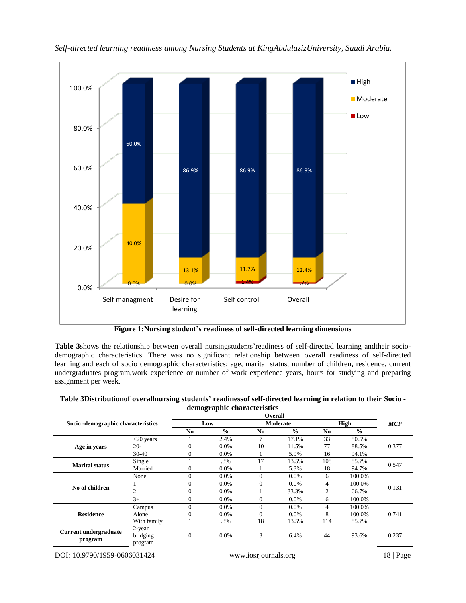

*Self-directed learning readiness among Nursing Students at KingAbdulazizUniversity, Saudi Arabia.*

**Figure 1:Nursing student's readiness of self-directed learning dimensions**

**Table 3**shows the relationship between overall nursingstudents'readiness of self-directed learning andtheir sociodemographic characteristics. There was no significant relationship between overall readiness of self-directed learning and each of socio demographic characteristics; age, marital status, number of children, residence, current undergraduates program,work experience or number of work experience years, hours for studying and preparing assignment per week.

|                                     |              |                |               | Overall  |               |     |               |            |
|-------------------------------------|--------------|----------------|---------------|----------|---------------|-----|---------------|------------|
| Socio - demographic characteristics |              |                | Low           |          | Moderate      |     | <b>High</b>   | <b>MCP</b> |
|                                     |              | N <sub>0</sub> | $\frac{0}{0}$ | No.      | $\frac{0}{0}$ | No. | $\frac{0}{0}$ |            |
|                                     | $<$ 20 years |                | 2.4%          | 7        | 17.1%         | 33  | 80.5%         |            |
| Age in years                        | $20-$        | $\overline{0}$ | 0.0%          | 10       | 11.5%         | 77  | 88.5%         | 0.377      |
|                                     | $30 - 40$    | $\overline{0}$ | 0.0%          |          | 5.9%          | 16  | 94.1%         |            |
| <b>Marital status</b>               | Single       |                | .8%           | 17       | 13.5%         | 108 | 85.7%         |            |
|                                     | Married      | $\theta$       | 0.0%          |          | 5.3%          | 18  | 94.7%         | 0.547      |
|                                     | None         | $\overline{0}$ | 0.0%          | $\theta$ | 0.0%          | 6   | 100.0%        | 0.131      |
|                                     |              | $\overline{0}$ | $0.0\%$       | 0        | 0.0%          | 4   | 100.0%        |            |
| No of children                      | 2            | $\overline{0}$ | $0.0\%$       |          | 33.3%         | 2   | 66.7%         |            |
|                                     | $3+$         | $\overline{0}$ | $0.0\%$       | 0        | 0.0%          | 6   | 100.0%        |            |
|                                     | Campus       | $\overline{0}$ | 0.0%          | $\Omega$ | 0.0%          | 4   | 100.0%        |            |
| <b>Residence</b>                    | Alone        | $\overline{0}$ | 0.0%          | $\Omega$ | 0.0%          | 8   | 100.0%        | 0.741      |
|                                     | With family  |                | .8%           | 18       | 13.5%         | 114 | 85.7%         |            |
| <b>Current undergraduate</b>        | 2-year       |                |               |          |               |     |               |            |
|                                     | bridging     | $\overline{0}$ | $0.0\%$       | 3        | 6.4%          | 44  | 93.6%         | 0.237      |
| program                             | program      |                |               |          |               |     |               |            |

**Table 3Distributionof overallnursing students' readinessof self-directed learning in relation to their Socio demographic characteristics**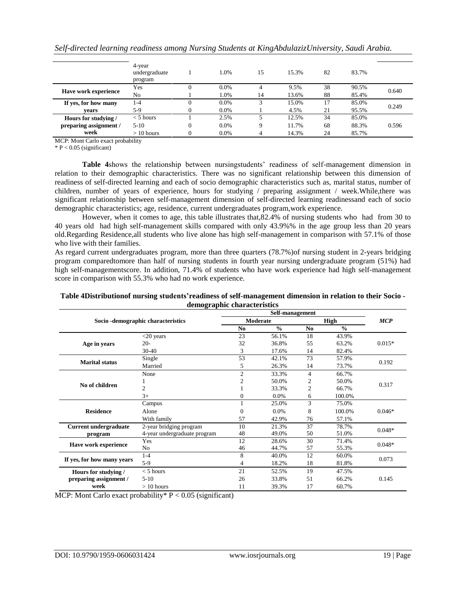|                             | 4-year<br>undergraduate<br>program |                | 1.0%    | 15 | 15.3% | 82 | 83.7% |       |
|-----------------------------|------------------------------------|----------------|---------|----|-------|----|-------|-------|
| <b>Have work experience</b> | Yes                                | 0              | $0.0\%$ |    | 9.5%  | 38 | 90.5% | 0.640 |
|                             | No                                 |                | 1.0%    | 14 | 13.6% | 88 | 85.4% |       |
| If yes, for how many        | $1-4$                              | 0              | $0.0\%$ |    | 15.0% | 17 | 85.0% | 0.249 |
| vears                       | 5-9                                | $\Omega$       | $0.0\%$ |    | 4.5%  | 21 | 95.5% |       |
| Hours for studying /        | $<$ 5 hours                        |                | 2.5%    |    | 12.5% | 34 | 85.0% |       |
| preparing assignment /      | $5-10$                             | $\overline{0}$ | $0.0\%$ | Q  | 11.7% | 68 | 88.3% | 0.596 |
| week                        | $>10$ hours                        | 0              | $0.0\%$ | 4  | 14.3% | 24 | 85.7% |       |

*Self-directed learning readiness among Nursing Students at KingAbdulazizUniversity, Saudi Arabia.*

MCP: Mont Carlo exact probability

 $* P < 0.05$  (significant)

**Table 4**shows the relationship between nursingstudents' readiness of self-management dimension in relation to their demographic characteristics. There was no significant relationship between this dimension of readiness of self-directed learning and each of socio demographic characteristics such as, marital status, number of children, number of years of experience, hours for studying / preparing assignment / week.While,there was significant relationship between self-management dimension of self-directed learning readinessand each of socio demographic characteristics; age, residence, current undergraduates program,work experience.

However, when it comes to age, this table illustrates that,82.4% of nursing students who had from 30 to 40 years old had high self-management skills compared with only 43.9%% in the age group less than 20 years old.Regarding Residence,all students who live alone has high self-management in comparison with 57.1% of those who live with their families.

As regard current undergraduates program, more than three quarters (78.7%)of nursing student in 2-years bridging program comparedtomore than half of nursing students in fourth year nursing undergraduate program (51%) had high self-managementscore. In addition, 71.4% of students who have work experience had high self-management score in comparison with 55.3% who had no work experience.

#### **Table 4Distributionof nursing students'readiness of self-management dimension in relation to their Socio demographic characteristics**

|                              | ---- o-                             |                | Self-management |                |               |            |  |
|------------------------------|-------------------------------------|----------------|-----------------|----------------|---------------|------------|--|
|                              | Socio - demographic characteristics |                | <b>Moderate</b> |                | High          | <b>MCP</b> |  |
|                              |                                     | N <sub>0</sub> | $\frac{0}{0}$   | N <sub>0</sub> | $\frac{0}{0}$ |            |  |
|                              | $<$ 20 years                        | 23             | 56.1%           | 18             | 43.9%         |            |  |
| Age in years                 | $20-$                               | 32             | 36.8%           | 55             | 63.2%         | $0.015*$   |  |
|                              | $30 - 40$                           | 3              | 17.6%           | 14             | 82.4%         |            |  |
| <b>Marital status</b>        | Single                              | 53             | 42.1%           | 73             | 57.9%         |            |  |
|                              | Married                             | 5              | 26.3%           | 14             | 73.7%         | 0.192      |  |
| No of children               | None                                | $\overline{c}$ | 33.3%           | 4              | 66.7%         |            |  |
|                              |                                     | 2              | 50.0%           | 2              | 50.0%         | 0.317      |  |
|                              | $\overline{c}$                      |                | 33.3%           | $\overline{c}$ | 66.7%         |            |  |
|                              | $3+$                                | 0              | 0.0%            | 6              | 100.0%        |            |  |
|                              | Campus                              |                | 25.0%           | 3              | 75.0%         |            |  |
| <b>Residence</b>             | Alone                               | 0              | 0.0%            | 8              | 100.0%        | $0.046*$   |  |
|                              | With family                         | 57             | 42.9%           | 76             | 57.1%         |            |  |
| <b>Current undergraduate</b> | 2-year bridging program             | 10             | 21.3%           | 37             | 78.7%         | $0.048*$   |  |
| program                      | 4-year undergraduate program        | 48             | 49.0%           | 50             | 51.0%         |            |  |
|                              | Yes                                 | 12             | 28.6%           | 30             | 71.4%         | $0.048*$   |  |
| Have work experience         | No                                  | 46             | 44.7%           | 57             | 55.3%         |            |  |
|                              | $1 - 4$                             | 8              | 40.0%           | 12             | 60.0%         | 0.073      |  |
| If yes, for how many years   | $5-9$                               | 4              | 18.2%           | 18             | 81.8%         |            |  |
| Hours for studying /         | $<$ 5 hours                         | 21             | 52.5%           | 19             | 47.5%         |            |  |
| preparing assignment /       | $5-10$                              | 26             | 33.8%           | 51             | 66.2%         | 0.145      |  |
| week                         | $>10$ hours                         | 11             | 39.3%           | 17             | 60.7%         |            |  |

MCP: Mont Carlo exact probability  $P < 0.05$  (significant)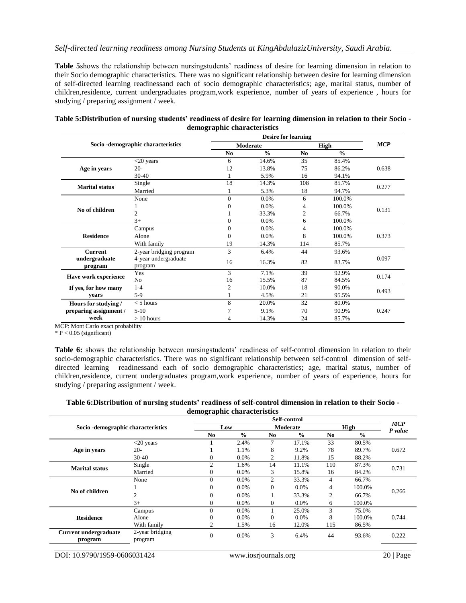**Table 5**shows the relationship between nursingstudents' readiness of desire for learning dimension in relation to their Socio demographic characteristics. There was no significant relationship between desire for learning dimension of self-directed learning readinessand each of socio demographic characteristics; age, marital status, number of children,residence, current undergraduates program,work experience, number of years of experience , hours for studying / preparing assignment / week.

| Table 5: Distribution of nursing students' readiness of desire for learning dimension in relation to their Socio - |
|--------------------------------------------------------------------------------------------------------------------|
| demographic characteristics                                                                                        |

|                             | Socio - demographic characteristics |                | Moderate      |                | <b>High</b>   | <b>MCP</b> |
|-----------------------------|-------------------------------------|----------------|---------------|----------------|---------------|------------|
|                             |                                     | N <sub>0</sub> | $\frac{0}{0}$ | N <sub>0</sub> | $\frac{0}{0}$ |            |
|                             | $<$ 20 years                        | 6              | 14.6%         | 35             | 85.4%         |            |
| Age in years                | $20-$                               | 12             | 13.8%         | 75             | 86.2%         | 0.638      |
|                             | $30 - 40$                           |                | 5.9%          | 16             | 94.1%         |            |
| <b>Marital status</b>       | Single                              | 18             | 14.3%         | 108            | 85.7%         | 0.277      |
|                             | Married                             |                | 5.3%          | 18             | 94.7%         |            |
|                             | None                                | $\Omega$       | $0.0\%$       | 6              | 100.0%        |            |
| No of children              |                                     |                | 0.0%          | 4              | 100.0%        | 0.131      |
|                             | $\overline{2}$                      |                | 33.3%         | $\overline{2}$ | 66.7%         |            |
|                             | $3+$                                | 0              | 0.0%          | 6              | 100.0%        |            |
|                             | Campus                              | $\Omega$       | 0.0%          | 4              | 100.0%        |            |
| <b>Residence</b>            | Alone                               | 0              | 0.0%          | 8              | 100.0%        | 0.373      |
|                             | With family                         | 19             | 14.3%         | 114            | 85.7%         |            |
| <b>Current</b>              | 2-year bridging program             | 3              | 6.4%          | 44             | 93.6%         |            |
| undergraduate<br>program    | 4-year undergraduate<br>program     | 16             | 16.3%         | 82             | 83.7%         | 0.097      |
|                             | Yes                                 | 3              | 7.1%          | 39             | 92.9%         |            |
| <b>Have work experience</b> | N <sub>0</sub>                      | 16             | 15.5%         | 87             | 84.5%         | 0.174      |
| If yes, for how many        | $1 - 4$                             | $\overline{c}$ | 10.0%         | 18             | 90.0%         |            |
| vears                       | $5-9$                               |                | 4.5%          | 21             | 95.5%         | 0.493      |
| Hours for studying /        | $<$ 5 hours                         | 8              | 20.0%         | 32             | 80.0%         |            |
| preparing assignment /      | $5-10$                              |                | 9.1%          | 70             | 90.9%         | 0.247      |
| week                        | $>10$ hours                         | 4              | 14.3%         | 24             | 85.7%         |            |

MCP: Mont Carlo exact probability

 $* P < 0.05$  (significant)

**Table 6:** shows the relationship between nursingstudents' readiness of self-control dimension in relation to their socio-demographic characteristics. There was no significant relationship between self-control dimension of selfdirected learning readinessand each of socio demographic characteristics; age, marital status, number of children,residence, current undergraduates program,work experience, number of years of experience, hours for studying / preparing assignment / week.

**Table 6:Distribution of nursing students' readiness of self-control dimension in relation to their Socio demographic characteristics**

|                                         |                            | Self-control   |                 |                |               |                |                       |       |  |
|-----------------------------------------|----------------------------|----------------|-----------------|----------------|---------------|----------------|-----------------------|-------|--|
| Socio - demographic characteristics     |                            |                | Moderate<br>Low |                | High          |                | <b>MCP</b><br>P value |       |  |
|                                         |                            | N <sub>0</sub> | $\frac{0}{0}$   | No             | $\frac{6}{9}$ | No             | $\frac{0}{0}$         |       |  |
|                                         | $<$ 20 years               |                | 2.4%            | 7              | 17.1%         | 33             | 80.5%                 |       |  |
| Age in years                            | $20-$                      |                | 1.1%            | 8              | 9.2%          | 78             | 89.7%                 | 0.672 |  |
|                                         | $30-40$                    | 0              | $0.0\%$         |                | 11.8%         | 15             | 88.2%                 |       |  |
| <b>Marital status</b>                   | Single                     | C              | 1.6%            | 14             | 11.1%         | 110            | 87.3%                 | 0.731 |  |
|                                         | Married                    | O              | $0.0\%$         | 3              | 15.8%         | 16             | 84.2%                 |       |  |
|                                         | None                       | $\theta$       | $0.0\%$         | $\overline{c}$ | 33.3%         | $\overline{4}$ | 66.7%                 |       |  |
|                                         |                            |                | $0.0\%$         | $\Omega$       | 0.0%          | 4              | 100.0%                |       |  |
| No of children                          | 2                          |                | $0.0\%$         |                | 33.3%         | $\overline{c}$ | 66.7%                 | 0.266 |  |
|                                         | $3+$                       | 0              | $0.0\%$         | $\Omega$       | $0.0\%$       | 6              | 100.0%                |       |  |
|                                         | Campus                     |                | $0.0\%$         |                | 25.0%         | 3              | 75.0%                 |       |  |
| <b>Residence</b>                        | Alone                      |                | $0.0\%$         | 0              | $0.0\%$       | 8              | 100.0%                | 0.744 |  |
|                                         | With family                |                | 1.5%            | 16             | 12.0%         | 115            | 86.5%                 |       |  |
| <b>Current undergraduate</b><br>program | 2-year bridging<br>program | $\theta$       | $0.0\%$         | 3              | 6.4%          | 44             | 93.6%                 | 0.222 |  |
|                                         |                            |                |                 |                |               |                |                       |       |  |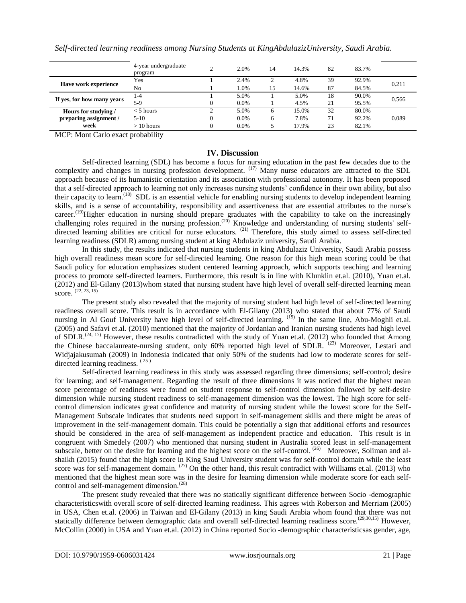|                             | 4-year undergraduate<br>program | 2.0%    | 14 | 14.3% | 82 | 83.7% |       |
|-----------------------------|---------------------------------|---------|----|-------|----|-------|-------|
|                             | Yes                             | 2.4%    |    | 4.8%  | 39 | 92.9% |       |
| <b>Have work experience</b> | No                              | .0%     | 15 | 14.6% | 87 | 84.5% | 0.211 |
|                             | 1-4                             | 5.0%    |    | 5.0%  | 18 | 90.0% | 0.566 |
| If yes, for how many years  | $5-9$                           | 0.0%    |    | 4.5%  | 21 | 95.5% |       |
| Hours for studying/         | $<$ 5 hours                     | 5.0%    |    | 15.0% | 32 | 80.0% |       |
| preparing assignment /      | $5-10$                          | $0.0\%$ | 6  | 7.8%  | 71 | 92.2% | 0.089 |
| week                        | $>10$ hours                     | $0.0\%$ |    | 17.9% | 23 | 82.1% |       |

|  |  |  | Self-directed learning readiness among Nursing Students at KingAbdulazizUniversity, Saudi Arabia. |  |
|--|--|--|---------------------------------------------------------------------------------------------------|--|

MCP: Mont Carlo exact probability

## **IV. Discussion**

Self-directed learning (SDL) has become a focus for nursing education in the past few decades due to the complexity and changes in nursing profession development. <sup>(17)</sup> Many nurse educators are attracted to the SDL approach because of its humanistic orientation and its association with professional autonomy. It has been proposed that a self-directed approach to learning not only increases nursing students' confidence in their own ability, but also their capacity to learn.<sup> $(18)$ </sup> SDL is an essential vehicle for enabling nursing students to develop independent learning skills, and is a sense of accountability, responsibility and assertiveness that are essential attributes to the nurse's career.<sup>(19)</sup>Higher education in nursing should prepare graduates with the capability to take on the increasingly challenging roles required in the nursing profession.<sup>(20)</sup> Knowledge and understanding of nursing students' selfdirected learning abilities are critical for nurse educators. (21) Therefore, this study aimed to assess self-directed learning readiness (SDLR) among nursing student at king Abdulaziz university, Saudi Arabia.

In this study, the results indicated that nursing students in king Abdulaziz University, Saudi Arabia possess high overall readiness mean score for self-directed learning. One reason for this high mean scoring could be that Saudi policy for education emphasizes student centered learning approach, which supports teaching and learning process to promote self-directed learners. Furthermore, this result is in line with Klunklin et.al. (2010), Yuan et.al. (2012) and El-Gilany (2013)whom stated that nursing student have high level of overall self-directed learning mean score. (22, 23, 15)

The present study also revealed that the majority of nursing student had high level of self-directed learning readiness overall score. This result is in accordance with El-Gilany (2013) who stated that about 77% of Saudi nursing in Al Gouf University have high level of self-directed learning. <sup>(15)</sup> In the same line, Abu-Moghli et.al. (2005) and Safavi et.al. (2010) mentioned that the majority of Jordanian and Iranian nursing students had high level of SDLR.<sup> $(24, 17)$ </sup> However, these results contradicted with the study of Yuan et.al. (2012) who founded that Among the Chinese baccalaureate-nursing student, only 60% reported high level of SDLR. <sup>(23)</sup> Moreover, Lestari and Widjajakusumah (2009) in Indonesia indicated that only 50% of the students had low to moderate scores for selfdirected learning readiness. (25)

Self-directed learning readiness in this study was assessed regarding three dimensions; self-control; desire for learning; and self-management. Regarding the result of three dimensions it was noticed that the highest mean score percentage of readiness were found on student response to self-control dimension followed by self-desire dimension while nursing student readiness to self-management dimension was the lowest. The high score for selfcontrol dimension indicates great confidence and maturity of nursing student while the lowest score for the Self-Management Subscale indicates that students need support in self-management skills and there might be areas of improvement in the self-management domain. This could be potentially a sign that additional efforts and resources should be considered in the area of self-management as independent practice and education. This result is in congruent with Smedely (2007) who mentioned that nursing student in Australia scored least in self-management subscale, better on the desire for learning and the highest score on the self-control.<sup>(26)</sup> Moreover, Soliman and alshaikh (2015) found that the high score in King Saud University student was for self-control domain while the least score was for self-management domain. <sup>(27)</sup> On the other hand, this result contradict with Williams et.al. (2013) who mentioned that the highest mean sore was in the desire for learning dimension while moderate score for each selfcontrol and self-management dimension.<sup>(28)</sup>

The present study revealed that there was no statically significant difference between Socio -demographic characteristicswith overall score of self-directed learning readiness. This agrees with Roberson and Merriam (2005) in USA, Chen et.al. (2006) in Taiwan and El-Gilany (2013) in king Saudi Arabia whom found that there was not statically difference between demographic data and overall self-directed learning readiness score.<sup>(29,30,15)</sup> However, McCollin (2000) in USA and Yuan et.al. (2012) in China reported Socio -demographic characteristicsas gender, age,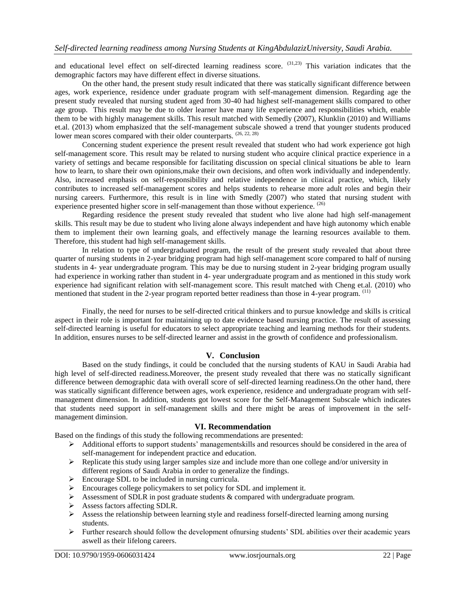and educational level effect on self-directed learning readiness score. <sup>(31,23)</sup> This variation indicates that the demographic factors may have different effect in diverse situations.

On the other hand, the present study result indicated that there was statically significant difference between ages, work experience, residence under graduate program with self-management dimension. Regarding age the present study revealed that nursing student aged from 30-40 had highest self-management skills compared to other age group. This result may be due to older learner have many life experience and responsibilities which, enable them to be with highly management skills. This result matched with Semedly (2007), Klunklin (2010) and Williams et.al. (2013) whom emphasized that the self-management subscale showed a trend that younger students produced lower mean scores compared with their older counterparts. (26, 22, 28)

Concerning student experience the present result revealed that student who had work experience got high self-management score. This result may be related to nursing student who acquire clinical practice experience in a variety of settings and became responsible for facilitating discussion on special clinical situations be able to learn how to learn, to share their own opinions,make their own decisions, and often work individually and independently. Also, increased emphasis on self-responsibility and relative independence in clinical practice, which, likely contributes to increased self-management scores and helps students to rehearse more adult roles and begin their nursing careers. Furthermore, this result is in line with Smedly (2007) who stated that nursing student with experience presented higher score in self-management than those without experience. <sup>(26)</sup>

Regarding residence the present study revealed that student who live alone had high self-management skills. This result may be due to student who living alone always independent and have high autonomy which enable them to implement their own learning goals, and effectively manage the learning resources available to them. Therefore, this student had high self-management skills.

In relation to type of undergraduated program, the result of the present study revealed that about three quarter of nursing students in 2-year bridging program had high self-management score compared to half of nursing students in 4- year undergraduate program. This may be due to nursing student in 2-year bridging program usually had experience in working rather than student in 4- year undergraduate program and as mentioned in this study work experience had significant relation with self-management score. This result matched with Cheng et.al. (2010) who mentioned that student in the 2-year program reported better readiness than those in 4-year program. <sup>(11)</sup>

Finally, the need for nurses to be self-directed critical thinkers and to pursue knowledge and skills is critical aspect in their role is important for maintaining up to date evidence based nursing practice. The result of assessing self-directed learning is useful for educators to select appropriate teaching and learning methods for their students. In addition, ensures nurses to be self-directed learner and assist in the growth of confidence and professionalism.

# **V. Conclusion**

Based on the study findings, it could be concluded that the nursing students of KAU in Saudi Arabia had high level of self-directed readiness.Moreover, the present study revealed that there was no statically significant difference between demographic data with overall score of self-directed learning readiness.On the other hand, there was statically significant difference between ages, work experience, residence and undergraduate program with selfmanagement dimension. In addition, students got lowest score for the Self-Management Subscale which indicates that students need support in self-management skills and there might be areas of improvement in the selfmanagement diminsion.

## **VI. Recommendation**

Based on the findings of this study the following recommendations are presented:

- $\triangleright$  Additional efforts to support students' managementskills and resources should be considered in the area of self-management for independent practice and education.
- Replicate this study using larger samples size and include more than one college and/or university in different regions of Saudi Arabia in order to generalize the findings.
- $\triangleright$  Encourage SDL to be included in nursing curricula.
- $\triangleright$  Encourages college policymakers to set policy for SDL and implement it.
- $\triangleright$  Assessment of SDLR in post graduate students & compared with undergraduate program.
- Assess factors affecting SDLR.
- $\triangleright$  Assess the relationship between learning style and readiness forself-directed learning among nursing students.
- $\triangleright$  Further research should follow the development of nursing students' SDL abilities over their academic years aswell as their lifelong careers.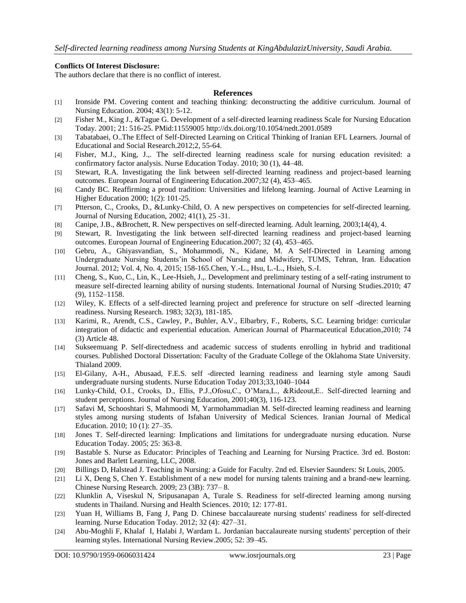#### **Conflicts Of Interest Disclosure:**

The authors declare that there is no conflict of interest.

#### **References**

- [1] Ironside PM. Covering content and teaching thinking: deconstructing the additive curriculum. Journal of Nursing Education. 2004; 43(1): 5-12.
- [2] Fisher M., King J., &Tague G. Development of a self-directed learning readiness Scale for Nursing Education Today. 2001; 21: 516-25. PMid:11559005<http://dx.doi.org/10.1054/nedt.2001.0589>
- [3] Tabatabaei, O..The Effect of Self-Directed Learning on Critical Thinking of Iranian EFL Learners. Journal of Educational and Social Research.2012;2, 55-64.
- [4] Fisher, M.J., King, J.,. The self-directed learning readiness scale for nursing education revisited: a confirmatory factor analysis. Nurse Education Today. 2010; 30 (1), 44–48.
- [5] Stewart, R.A. Investigating the link between self-directed learning readiness and project-based learning outcomes. European Journal of Engineering Education.2007;32 (4), 453–465.
- [6] Candy BC. Reaffirming a proud tradition: Universities and lifelong learning. Journal of Active Learning in Higher Education 2000; 1(2): 101-25.
- [7] Ptterson, C., Crooks, D., &Lunky-Child, O. A new perspectives on competencies for self-directed learning. Journal of Nursing Education, 2002; 41(1), 25 -31.
- [8] Canipe, J.B., &Brochett, R. New perspectives on self-directed learning. Adult learning, 2003;14(4), 4.
- [9] Stewart, R. Investigating the link between self-directed learning readiness and project-based learning outcomes. European Journal of Engineering Education.2007; 32 (4), 453–465.
- [10] Gebru, A., Ghiyasvandian, S., Mohammodi, N., Kidane, M. A Self-Directed in Learning among Undergraduate Nursing Students'in School of Nursing and Midwifery, TUMS, Tehran, Iran. Education Journal. 2012; Vol. 4, No. 4, 2015; 158-165.Chen, Y.-L., Hsu, L.-L., Hsieh, S.-I.
- [11] Cheng, S., Kuo, C., Lin, K., Lee-Hsieh, J.,. Development and preliminary testing of a self-rating instrument to measure self-directed learning ability of nursing students. International Journal of Nursing Studies.2010; 47 (9), 1152–1158.
- [12] Wiley, K. Effects of a self-directed learning project and preference for structure on self -directed learning readiness. Nursing Research. 1983; 32(3), 181-185.
- [13] Karimi, R., Arendt, C.S., Cawley, P., Buhler, A.V., Elbarbry, F., Roberts, S.C. Learning bridge: curricular integration of didactic and experiential education. American Journal of Pharmaceutical Education,2010; 74 (3) Article 48.
- [14] Sukseemuang P. Self-directedness and academic success of students enrolling in hybrid and traditional courses. Published Doctoral Dissertation: Faculty of the Graduate College of the Oklahoma State University. Thialand 2009.
- [15] El-Gilany, A-H., Abusaad, F.E.S. self -directed learning readiness and learning style among Saudi undergraduate nursing students. Nurse Education Today 2013;33,1040–1044
- [16] Lunky-Child, O.I., Crooks, D., Ellis, P.J.,Ofosu,C., O'Mara,L., &Rideout,E.. Self-directed learning and student perceptions. Journal of Nursing Education, 2001;40(3), 116-123.
- [17] Safavi M, Schooshtari S, Mahmoodi M, Yarmohammadian M. Self-directed learning readiness and learning styles among nursing students of Isfahan University of Medical Sciences. Iranian Journal of Medical Education. 2010; 10 (1): 27–35.
- [18] Jones T. Self-directed learning: Implications and limitations for undergraduate nursing education. Nurse Education Today. 2005; 25: 363-8.
- [19] Bastable S. Nurse as Educator: Principles of Teaching and Learning for Nursing Practice. 3rd ed. Boston: Jones and Barlett Learning, LLC, 2008.
- [20] Billings D, Halstead J. Teaching in Nursing: a Guide for Faculty. 2nd ed. Elsevier Saunders: St Louis, 2005.
- [21] Li X, Deng S, Chen Y. Establishment of a new model for nursing talents training and a brand-new learning. Chinese Nursing Research. 2009; 23 (3B): 737– 8.
- [22] Klunklin A, Viseskul N, Sripusanapan A, Turale S. Readiness for self-directed learning among nursing students in Thailand. Nursing and Health Sciences. 2010; 12: 177-81.
- [23] Yuan H, Williams B, Fang J, Pang D. Chinese baccalaureate nursing students' readiness for self-directed learning. Nurse Education Today. 2012; 32 (4): 427–31.
- [24] Abu-Moghli F, Khalaf I, Halabi J, Wardam L. Jordanian baccalaureate nursing students' perception of their learning styles. International Nursing Review.2005; 52: 39–45.